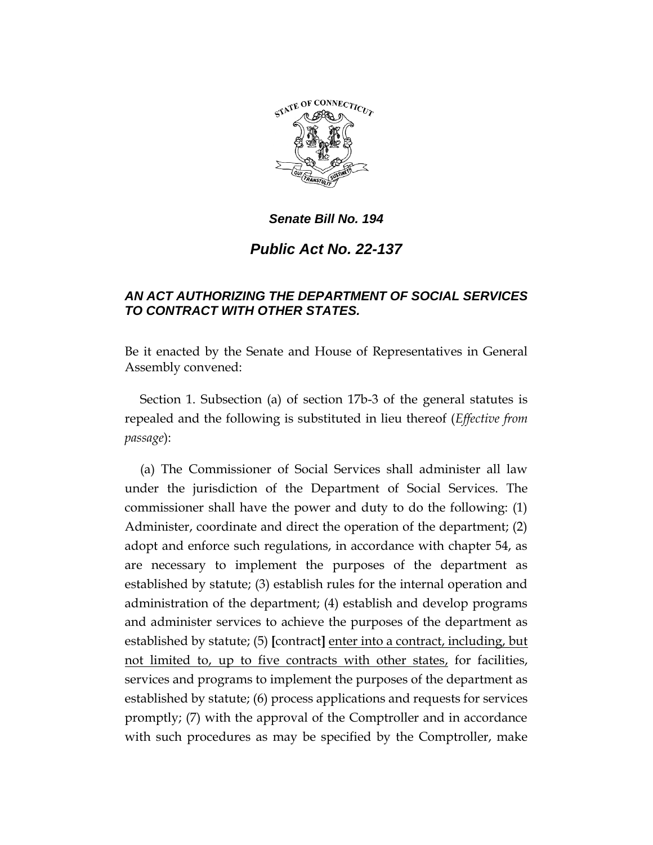

*Senate Bill No. 194*

*Public Act No. 22-137*

## *AN ACT AUTHORIZING THE DEPARTMENT OF SOCIAL SERVICES TO CONTRACT WITH OTHER STATES.*

Be it enacted by the Senate and House of Representatives in General Assembly convened:

Section 1. Subsection (a) of section 17b-3 of the general statutes is repealed and the following is substituted in lieu thereof (*Effective from passage*):

(a) The Commissioner of Social Services shall administer all law under the jurisdiction of the Department of Social Services. The commissioner shall have the power and duty to do the following: (1) Administer, coordinate and direct the operation of the department; (2) adopt and enforce such regulations, in accordance with chapter 54, as are necessary to implement the purposes of the department as established by statute; (3) establish rules for the internal operation and administration of the department; (4) establish and develop programs and administer services to achieve the purposes of the department as established by statute; (5) **[**contract**]** enter into a contract, including, but not limited to, up to five contracts with other states, for facilities, services and programs to implement the purposes of the department as established by statute; (6) process applications and requests for services promptly; (7) with the approval of the Comptroller and in accordance with such procedures as may be specified by the Comptroller, make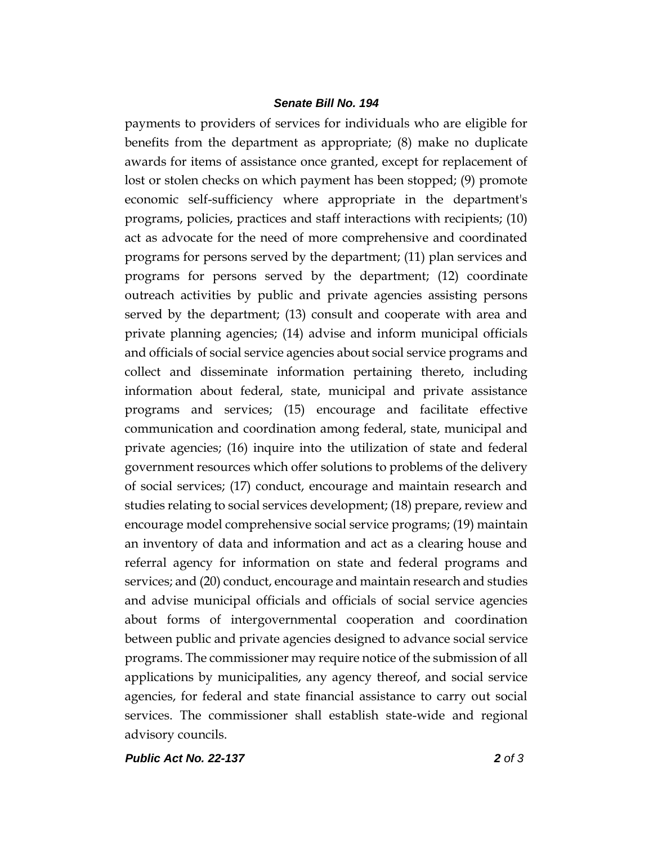## *Senate Bill No. 194*

payments to providers of services for individuals who are eligible for benefits from the department as appropriate; (8) make no duplicate awards for items of assistance once granted, except for replacement of lost or stolen checks on which payment has been stopped; (9) promote economic self-sufficiency where appropriate in the department's programs, policies, practices and staff interactions with recipients; (10) act as advocate for the need of more comprehensive and coordinated programs for persons served by the department; (11) plan services and programs for persons served by the department; (12) coordinate outreach activities by public and private agencies assisting persons served by the department; (13) consult and cooperate with area and private planning agencies; (14) advise and inform municipal officials and officials of social service agencies about social service programs and collect and disseminate information pertaining thereto, including information about federal, state, municipal and private assistance programs and services; (15) encourage and facilitate effective communication and coordination among federal, state, municipal and private agencies; (16) inquire into the utilization of state and federal government resources which offer solutions to problems of the delivery of social services; (17) conduct, encourage and maintain research and studies relating to social services development; (18) prepare, review and encourage model comprehensive social service programs; (19) maintain an inventory of data and information and act as a clearing house and referral agency for information on state and federal programs and services; and (20) conduct, encourage and maintain research and studies and advise municipal officials and officials of social service agencies about forms of intergovernmental cooperation and coordination between public and private agencies designed to advance social service programs. The commissioner may require notice of the submission of all applications by municipalities, any agency thereof, and social service agencies, for federal and state financial assistance to carry out social services. The commissioner shall establish state-wide and regional advisory councils.

*Public Act No. 22-137 2 of 3*